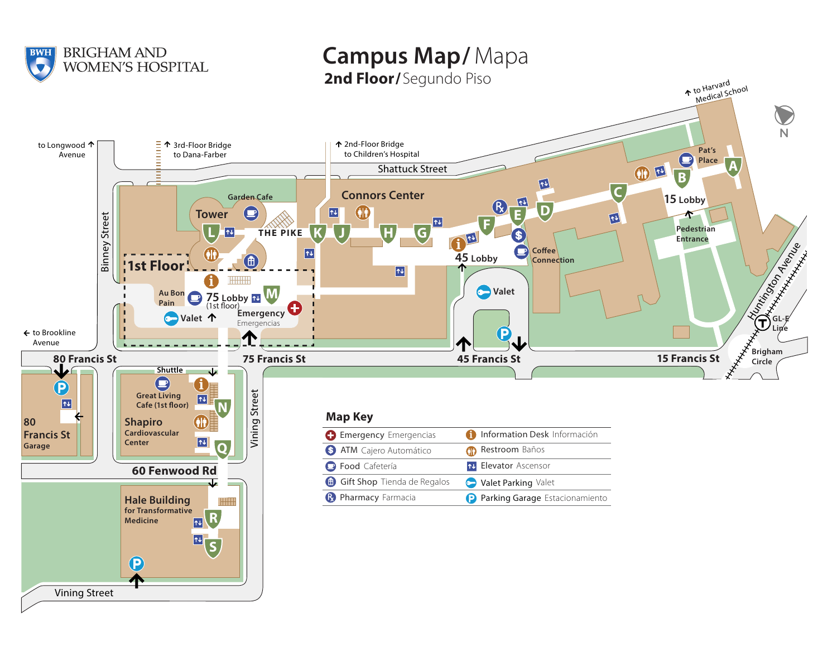